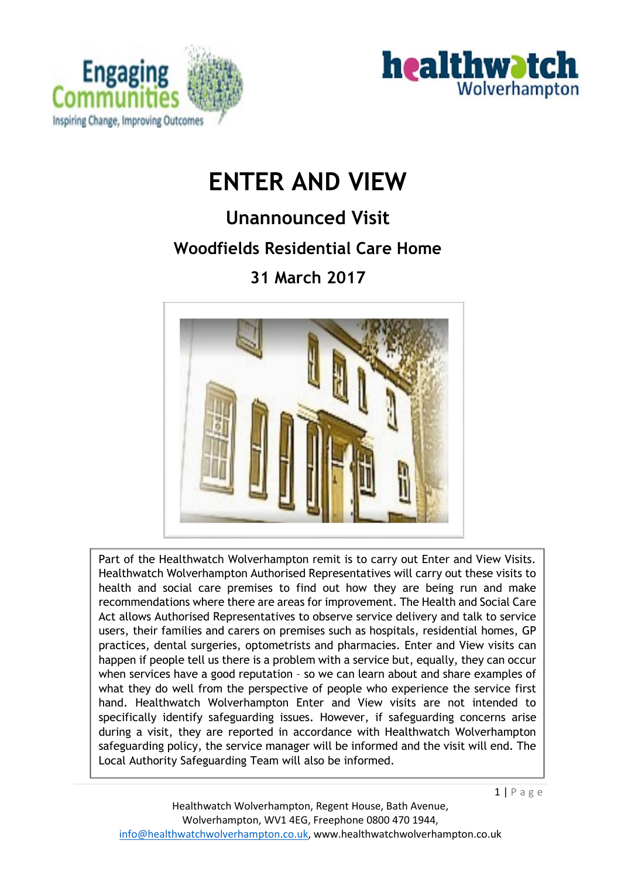



# **ENTER AND VIEW**

## **Unannounced Visit**

## **Woodfields Residential Care Home**

## **31 March 2017**



Part of the Healthwatch Wolverhampton remit is to carry out Enter and View Visits. Healthwatch Wolverhampton Authorised Representatives will carry out these visits to health and social care premises to find out how they are being run and make recommendations where there are areas for improvement. The Health and Social Care Act allows Authorised Representatives to observe service delivery and talk to service users, their families and carers on premises such as hospitals, residential homes, GP practices, dental surgeries, optometrists and pharmacies. Enter and View visits can happen if people tell us there is a problem with a service but, equally, they can occur when services have a good reputation – so we can learn about and share examples of what they do well from the perspective of people who experience the service first hand. Healthwatch Wolverhampton Enter and View visits are not intended to specifically identify safeguarding issues. However, if safeguarding concerns arise during a visit, they are reported in accordance with Healthwatch Wolverhampton safeguarding policy, the service manager will be informed and the visit will end. The Local Authority Safeguarding Team will also be informed.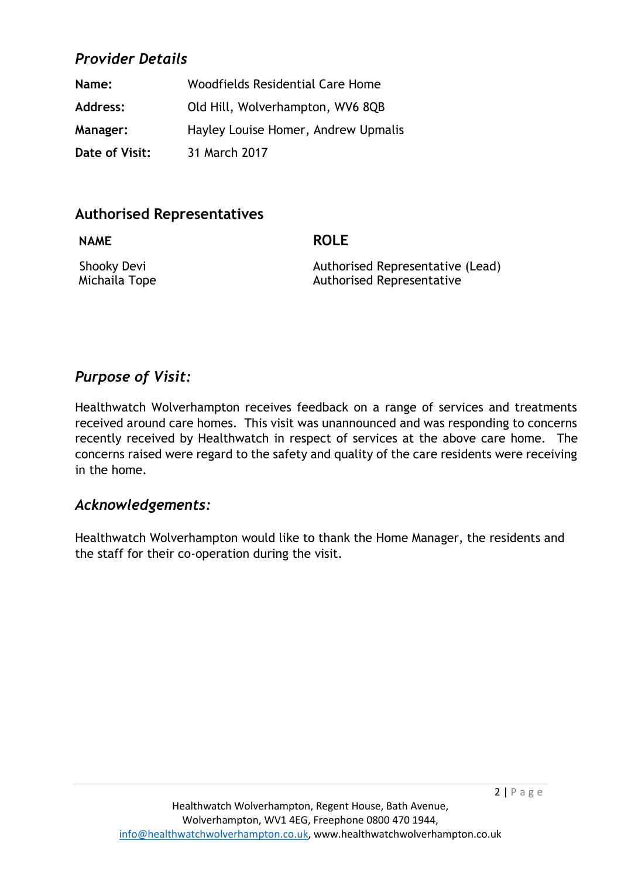## *Provider Details*

| Name:           | Woodfields Residential Care Home    |
|-----------------|-------------------------------------|
| Address:        | Old Hill, Wolverhampton, WV6 8QB    |
| <b>Manager:</b> | Hayley Louise Homer, Andrew Upmalis |
| Date of Visit:  | 31 March 2017                       |

## **Authorised Representatives**

**NAME ROLE**

Shooky Devi **Authorised Representative (Lead)** Michaila Tope **Authorised Representative** 

## *Purpose of Visit:*

Healthwatch Wolverhampton receives feedback on a range of services and treatments received around care homes. This visit was unannounced and was responding to concerns recently received by Healthwatch in respect of services at the above care home. The concerns raised were regard to the safety and quality of the care residents were receiving in the home.

### *Acknowledgements:*

Healthwatch Wolverhampton would like to thank the Home Manager, the residents and the staff for their co-operation during the visit.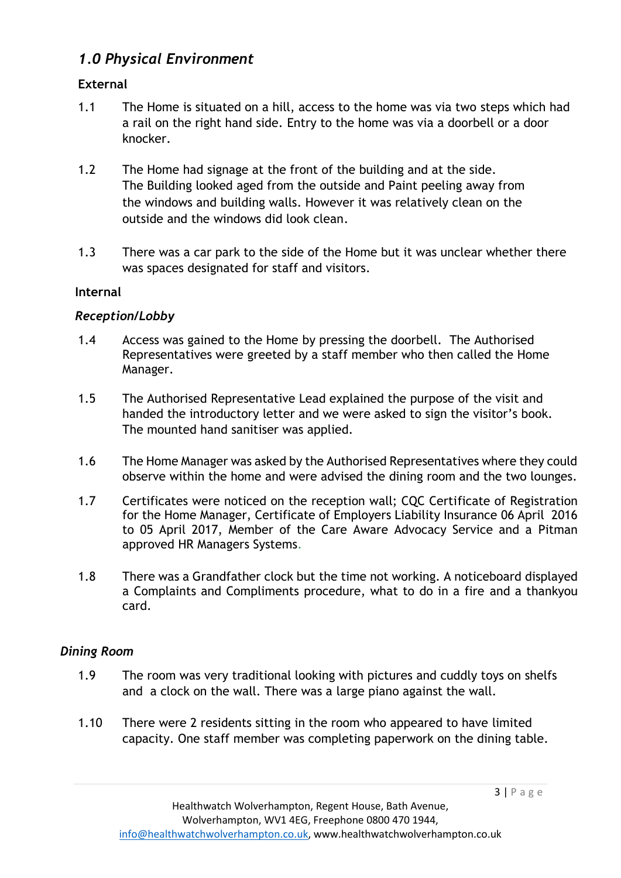## *1.0 Physical Environment*

#### **External**

- 1.1 The Home is situated on a hill, access to the home was via two steps which had a rail on the right hand side. Entry to the home was via a doorbell or a door knocker.
- 1.2 The Home had signage at the front of the building and at the side. The Building looked aged from the outside and Paint peeling away from the windows and building walls. However it was relatively clean on the outside and the windows did look clean.
- 1.3 There was a car park to the side of the Home but it was unclear whether there was spaces designated for staff and visitors.

#### **Internal**

#### *Reception/Lobby*

- 1.4 Access was gained to the Home by pressing the doorbell. The Authorised Representatives were greeted by a staff member who then called the Home Manager.
- 1.5 The Authorised Representative Lead explained the purpose of the visit and handed the introductory letter and we were asked to sign the visitor's book. The mounted hand sanitiser was applied.
- 1.6 The Home Manager was asked by the Authorised Representatives where they could observe within the home and were advised the dining room and the two lounges.
- 1.7 Certificates were noticed on the reception wall; CQC Certificate of Registration for the Home Manager, Certificate of Employers Liability Insurance 06 April 2016 to 05 April 2017, Member of the Care Aware Advocacy Service and a Pitman approved HR Managers Systems.
- 1.8 There was a Grandfather clock but the time not working. A noticeboard displayed a Complaints and Compliments procedure, what to do in a fire and a thankyou card.

#### *Dining Room*

- 1.9 The room was very traditional looking with pictures and cuddly toys on shelfs and a clock on the wall. There was a large piano against the wall.
- 1.10 There were 2 residents sitting in the room who appeared to have limited capacity. One staff member was completing paperwork on the dining table.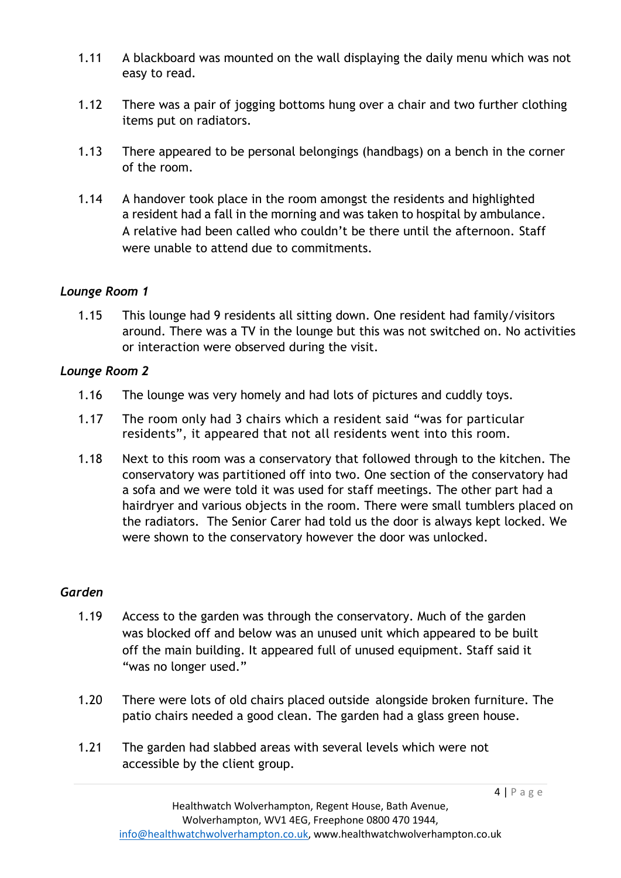- 1.11 A blackboard was mounted on the wall displaying the daily menu which was not easy to read.
- 1.12 There was a pair of jogging bottoms hung over a chair and two further clothing items put on radiators.
- 1.13 There appeared to be personal belongings (handbags) on a bench in the corner of the room.
- 1.14 A handover took place in the room amongst the residents and highlighted a resident had a fall in the morning and was taken to hospital by ambulance. A relative had been called who couldn't be there until the afternoon. Staff were unable to attend due to commitments.

#### *Lounge Room 1*

1.15 This lounge had 9 residents all sitting down. One resident had family/visitors around. There was a TV in the lounge but this was not switched on. No activities or interaction were observed during the visit.

#### *Lounge Room 2*

- 1.16 The lounge was very homely and had lots of pictures and cuddly toys.
- 1.17 The room only had 3 chairs which a resident said "was for particular residents", it appeared that not all residents went into this room.
- 1.18 Next to this room was a conservatory that followed through to the kitchen. The conservatory was partitioned off into two. One section of the conservatory had a sofa and we were told it was used for staff meetings. The other part had a hairdryer and various objects in the room. There were small tumblers placed on the radiators. The Senior Carer had told us the door is always kept locked. We were shown to the conservatory however the door was unlocked.

#### *Garden*

- 1.19 Access to the garden was through the conservatory. Much of the garden was blocked off and below was an unused unit which appeared to be built off the main building. It appeared full of unused equipment. Staff said it "was no longer used."
- 1.20 There were lots of old chairs placed outside alongside broken furniture. The patio chairs needed a good clean. The garden had a glass green house.
- 1.21 The garden had slabbed areas with several levels which were not accessible by the client group.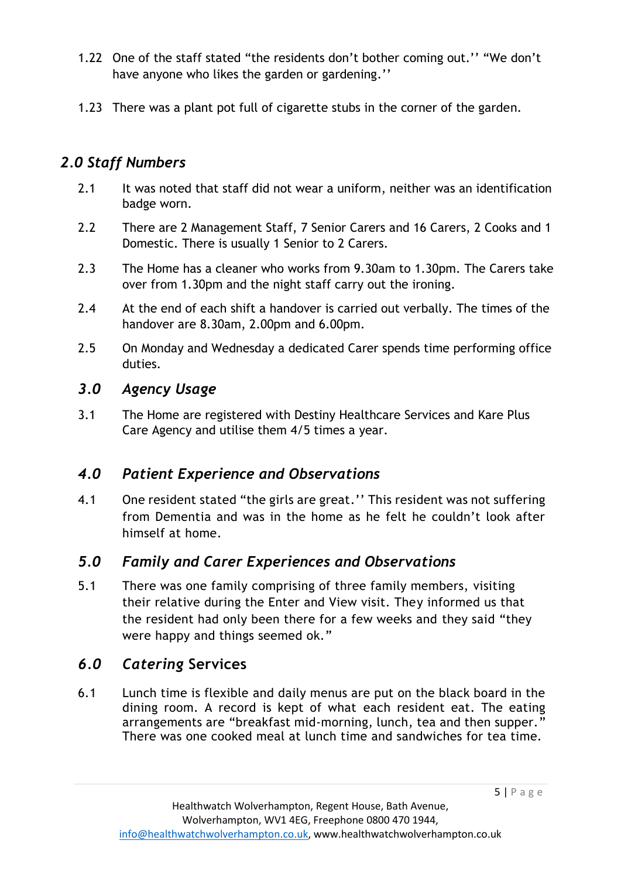- 1.22 One of the staff stated "the residents don't bother coming out.'' "We don't have anyone who likes the garden or gardening.''
- 1.23 There was a plant pot full of cigarette stubs in the corner of the garden.

## *2.0 Staff Numbers*

- 2.1 It was noted that staff did not wear a uniform, neither was an identification badge worn.
- 2.2 There are 2 Management Staff, 7 Senior Carers and 16 Carers, 2 Cooks and 1 Domestic. There is usually 1 Senior to 2 Carers.
- 2.3 The Home has a cleaner who works from 9.30am to 1.30pm. The Carers take over from 1.30pm and the night staff carry out the ironing.
- 2.4 At the end of each shift a handover is carried out verbally. The times of the handover are 8.30am, 2.00pm and 6.00pm.
- 2.5 On Monday and Wednesday a dedicated Carer spends time performing office duties.

## *3.0 Agency Usage*

3.1 The Home are registered with Destiny Healthcare Services and Kare Plus Care Agency and utilise them 4/5 times a year.

## *4.0 Patient Experience and Observations*

4.1 One resident stated "the girls are great.'' This resident was not suffering from Dementia and was in the home as he felt he couldn't look after himself at home.

## *5.0 Family and Carer Experiences and Observations*

5.1 There was one family comprising of three family members, visiting their relative during the Enter and View visit. They informed us that the resident had only been there for a few weeks and they said "they were happy and things seemed ok."

## *6.0 Catering* **Services**

6.1 Lunch time is flexible and daily menus are put on the black board in the dining room. A record is kept of what each resident eat. The eating arrangements are "breakfast mid-morning, lunch, tea and then supper." There was one cooked meal at lunch time and sandwiches for tea time.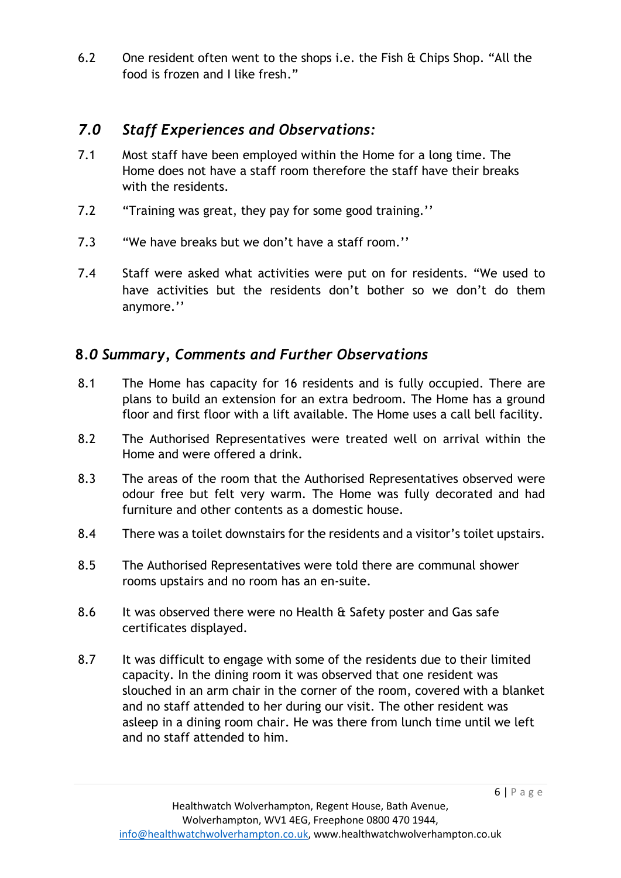6.2 One resident often went to the shops i.e. the Fish & Chips Shop. "All the food is frozen and I like fresh."

## *7.0 Staff Experiences and Observations:*

- 7.1 Most staff have been employed within the Home for a long time. The Home does not have a staff room therefore the staff have their breaks with the residents.
- 7.2 "Training was great, they pay for some good training.''
- 7.3 "We have breaks but we don't have a staff room.''
- 7.4 Staff were asked what activities were put on for residents. "We used to have activities but the residents don't bother so we don't do them anymore.''

## **8***.0 Summary, Comments and Further Observations*

- 8.1 The Home has capacity for 16 residents and is fully occupied. There are plans to build an extension for an extra bedroom. The Home has a ground floor and first floor with a lift available. The Home uses a call bell facility.
- 8.2 The Authorised Representatives were treated well on arrival within the Home and were offered a drink.
- 8.3 The areas of the room that the Authorised Representatives observed were odour free but felt very warm. The Home was fully decorated and had furniture and other contents as a domestic house.
- 8.4 There was a toilet downstairs for the residents and a visitor's toilet upstairs.
- 8.5 The Authorised Representatives were told there are communal shower rooms upstairs and no room has an en-suite.
- 8.6 It was observed there were no Health & Safety poster and Gas safe certificates displayed.
- 8.7 It was difficult to engage with some of the residents due to their limited capacity. In the dining room it was observed that one resident was slouched in an arm chair in the corner of the room, covered with a blanket and no staff attended to her during our visit. The other resident was asleep in a dining room chair. He was there from lunch time until we left and no staff attended to him.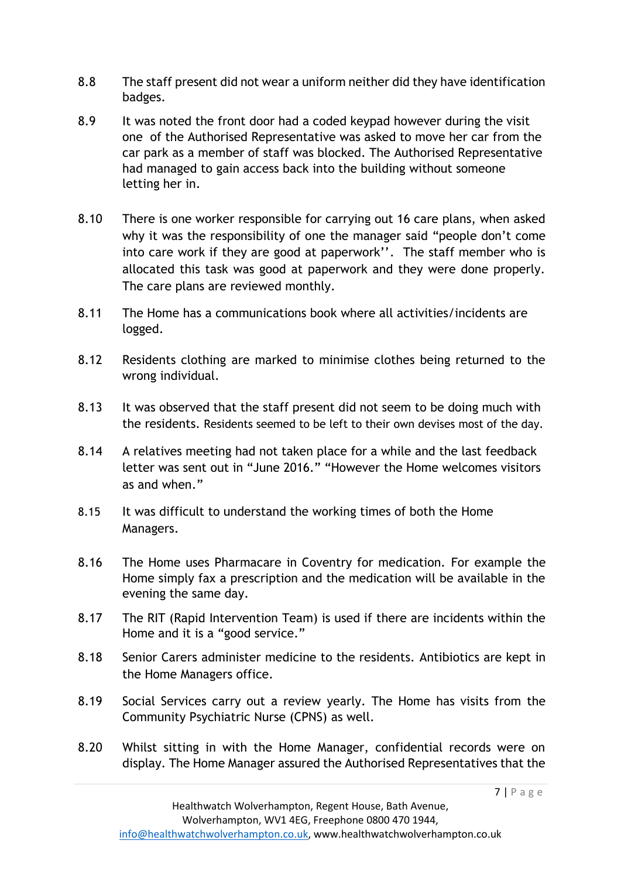- 8.8 The staff present did not wear a uniform neither did they have identification badges.
- 8.9 It was noted the front door had a coded keypad however during the visit one of the Authorised Representative was asked to move her car from the car park as a member of staff was blocked. The Authorised Representative had managed to gain access back into the building without someone letting her in.
- 8.10 There is one worker responsible for carrying out 16 care plans, when asked why it was the responsibility of one the manager said "people don't come into care work if they are good at paperwork''. The staff member who is allocated this task was good at paperwork and they were done properly. The care plans are reviewed monthly.
- 8.11 The Home has a communications book where all activities/incidents are logged.
- 8.12 Residents clothing are marked to minimise clothes being returned to the wrong individual.
- 8.13 It was observed that the staff present did not seem to be doing much with the residents. Residents seemed to be left to their own devises most of the day.
- 8.14 A relatives meeting had not taken place for a while and the last feedback letter was sent out in "June 2016." "However the Home welcomes visitors as and when."
- 8.15 It was difficult to understand the working times of both the Home Managers.
- 8.16 The Home uses Pharmacare in Coventry for medication. For example the Home simply fax a prescription and the medication will be available in the evening the same day.
- 8.17 The RIT (Rapid Intervention Team) is used if there are incidents within the Home and it is a "good service."
- 8.18 Senior Carers administer medicine to the residents. Antibiotics are kept in the Home Managers office.
- 8.19 Social Services carry out a review yearly. The Home has visits from the Community Psychiatric Nurse (CPNS) as well.
- 8.20 Whilst sitting in with the Home Manager, confidential records were on display. The Home Manager assured the Authorised Representatives that the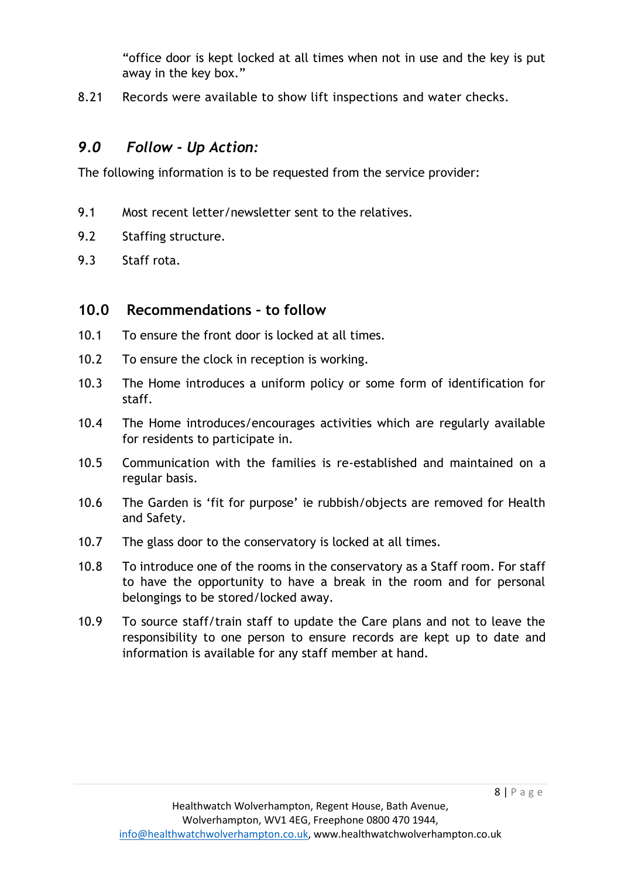"office door is kept locked at all times when not in use and the key is put away in the key box."

8.21 Records were available to show lift inspections and water checks.

### *9.0 Follow - Up Action:*

The following information is to be requested from the service provider:

- 9.1 Most recent letter/newsletter sent to the relatives.
- 9.2 Staffing structure.
- 9.3 Staff rota.

#### **10.0 Recommendations – to follow**

- 10.1 To ensure the front door is locked at all times.
- 10.2 To ensure the clock in reception is working.
- 10.3 The Home introduces a uniform policy or some form of identification for staff.
- 10.4 The Home introduces/encourages activities which are regularly available for residents to participate in.
- 10.5 Communication with the families is re-established and maintained on a regular basis.
- 10.6 The Garden is 'fit for purpose' ie rubbish/objects are removed for Health and Safety.
- 10.7 The glass door to the conservatory is locked at all times.
- 10.8 To introduce one of the rooms in the conservatory as a Staff room. For staff to have the opportunity to have a break in the room and for personal belongings to be stored/locked away.
- 10.9 To source staff/train staff to update the Care plans and not to leave the responsibility to one person to ensure records are kept up to date and information is available for any staff member at hand.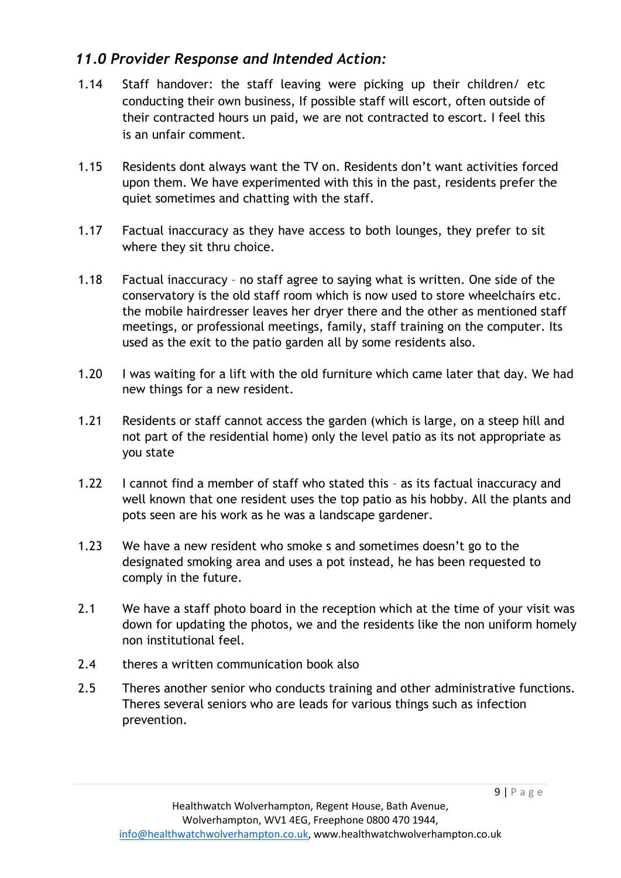## *11.0 Provider Response and Intended Action:*

- 1.14 Staff handover: the staff leaving were picking up their children/ etc conducting their own business, If possible staff will escort, often outside of their contracted hours un paid, we are not contracted to escort. I feel this is an unfair comment.
- 1.15 Residents dont always want the TV on. Residents don't want activities forced upon them. We have experimented with this in the past, residents prefer the quiet sometimes and chatting with the staff.
- 1.17 Factual inaccuracy as they have access to both lounges, they prefer to sit where they sit thru choice.
- 1.18 Factual inaccuracy no staff agree to saying what is written. One side of the conservatory is the old staff room which is now used to store wheelchairs etc. the mobile hairdresser leaves her dryer there and the other as mentioned staff meetings, or professional meetings, family, staff training on the computer. Its used as the exit to the patio garden all by some residents also.
- 1.20 I was waiting for a lift with the old furniture which came later that day. We had new things for a new resident.
- 1.21 Residents or staff cannot access the garden (which is large, on a steep hill and not part of the residential home) only the level patio as its not appropriate as you state
- 1.22 I cannot find a member of staff who stated this as its factual inaccuracy and well known that one resident uses the top patio as his hobby. All the plants and pots seen are his work as he was a landscape gardener.
- 1.23 We have a new resident who smoke s and sometimes doesn't go to the designated smoking area and uses a pot instead, he has been requested to comply in the future.
- 2.1 We have a staff photo board in the reception which at the time of your visit was down for updating the photos, we and the residents like the non uniform homely non institutional feel.
- 2.4 theres a written communication book also
- 2.5 Theres another senior who conducts training and other administrative functions. Theres several seniors who are leads for various things such as infection prevention.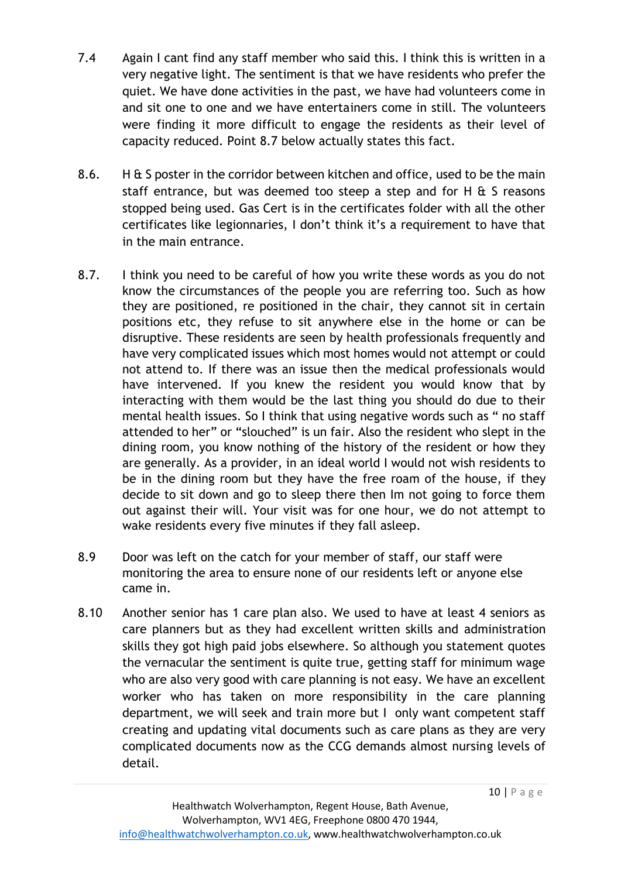- 7.4 Again I cant find any staff member who said this. I think this is written in a very negative light. The sentiment is that we have residents who prefer the quiet. We have done activities in the past, we have had volunteers come in and sit one to one and we have entertainers come in still. The volunteers were finding it more difficult to engage the residents as their level of capacity reduced. Point 8.7 below actually states this fact.
- 8.6. H & S poster in the corridor between kitchen and office, used to be the main staff entrance, but was deemed too steep a step and for H  $\&$  S reasons stopped being used. Gas Cert is in the certificates folder with all the other certificates like legionnaries, I don't think it's a requirement to have that in the main entrance.
- 8.7. I think you need to be careful of how you write these words as you do not know the circumstances of the people you are referring too. Such as how they are positioned, re positioned in the chair, they cannot sit in certain positions etc, they refuse to sit anywhere else in the home or can be disruptive. These residents are seen by health professionals frequently and have very complicated issues which most homes would not attempt or could not attend to. If there was an issue then the medical professionals would have intervened. If you knew the resident you would know that by interacting with them would be the last thing you should do due to their mental health issues. So I think that using negative words such as " no staff attended to her" or "slouched" is un fair. Also the resident who slept in the dining room, you know nothing of the history of the resident or how they are generally. As a provider, in an ideal world I would not wish residents to be in the dining room but they have the free roam of the house, if they decide to sit down and go to sleep there then Im not going to force them out against their will. Your visit was for one hour, we do not attempt to wake residents every five minutes if they fall asleep.
- 8.9 Door was left on the catch for your member of staff, our staff were monitoring the area to ensure none of our residents left or anyone else came in.
- 8.10 Another senior has 1 care plan also. We used to have at least 4 seniors as care planners but as they had excellent written skills and administration skills they got high paid jobs elsewhere. So although you statement quotes the vernacular the sentiment is quite true, getting staff for minimum wage who are also very good with care planning is not easy. We have an excellent worker who has taken on more responsibility in the care planning department, we will seek and train more but I only want competent staff creating and updating vital documents such as care plans as they are very complicated documents now as the CCG demands almost nursing levels of detail.